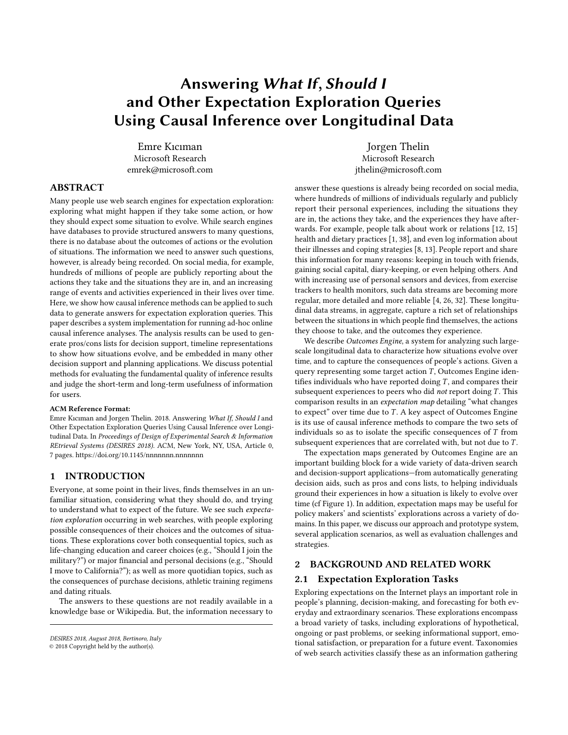# Answering What If, Should I and Other Expectation Exploration Queries Using Causal Inference over Longitudinal Data

Emre Kıcıman Microsoft Research emrek@microsoft.com

Jorgen Thelin Microsoft Research jthelin@microsoft.com

## ABSTRACT

Many people use web search engines for expectation exploration: exploring what might happen if they take some action, or how they should expect some situation to evolve. While search engines have databases to provide structured answers to many questions, there is no database about the outcomes of actions or the evolution of situations. The information we need to answer such questions, however, is already being recorded. On social media, for example, hundreds of millions of people are publicly reporting about the actions they take and the situations they are in, and an increasing range of events and activities experienced in their lives over time. Here, we show how causal inference methods can be applied to such data to generate answers for expectation exploration queries. This paper describes a system implementation for running ad-hoc online causal inference analyses. The analysis results can be used to generate pros/cons lists for decision support, timeline representations to show how situations evolve, and be embedded in many other decision support and planning applications. We discuss potential methods for evaluating the fundamental quality of inference results and judge the short-term and long-term usefulness of information for users.

#### ACM Reference Format:

Emre Kıcıman and Jorgen Thelin. 2018. Answering What If, Should I and Other Expectation Exploration Queries Using Causal Inference over Longitudinal Data. In Proceedings of Design of Experimental Search & Information REtrieval Systems (DESIRES 2018). ACM, New York, NY, USA, Article 0, [7](#page-6-0) pages.<https://doi.org/10.1145/nnnnnnn.nnnnnnn>

## 1 INTRODUCTION

Everyone, at some point in their lives, finds themselves in an unfamiliar situation, considering what they should do, and trying to understand what to expect of the future. We see such expectation exploration occurring in web searches, with people exploring possible consequences of their choices and the outcomes of situations. These explorations cover both consequential topics, such as life-changing education and career choices (e.g., "Should I join the military?") or major financial and personal decisions (e.g., "Should I move to California?"); as well as more quotidian topics, such as the consequences of purchase decisions, athletic training regimens and dating rituals.

The answers to these questions are not readily available in a knowledge base or Wikipedia. But, the information necessary to

answer these questions is already being recorded on social media, where hundreds of millions of individuals regularly and publicly report their personal experiences, including the situations they are in, the actions they take, and the experiences they have afterwards. For example, people talk about work or relations [\[12,](#page-5-0) [15\]](#page-5-1) health and dietary practices [\[1,](#page-5-2) [38\]](#page-6-1), and even log information about their illnesses and coping strategies [\[8,](#page-5-3) [13\]](#page-5-4). People report and share this information for many reasons: keeping in touch with friends, gaining social capital, diary-keeping, or even helping others. And with increasing use of personal sensors and devices, from exercise trackers to health monitors, such data streams are becoming more regular, more detailed and more reliable [\[4,](#page-5-5) [26,](#page-6-2) [32\]](#page-6-3). These longitudinal data streams, in aggregate, capture a rich set of relationships between the situations in which people find themselves, the actions they choose to take, and the outcomes they experience.

We describe Outcomes Engine, a system for analyzing such largescale longitudinal data to characterize how situations evolve over time, and to capture the consequences of people's actions. Given a query representing some target action  $T$ , Outcomes Engine identifies individuals who have reported doing  $T$ , and compares their subsequent experiences to peers who did not report doing  $T$ . This comparison results in an expectation map detailing "what changes to expect" over time due to T . A key aspect of Outcomes Engine is its use of causal inference methods to compare the two sets of individuals so as to isolate the specific consequences of  $T$  from subsequent experiences that are correlated with, but not due to  $T$ .

The expectation maps generated by Outcomes Engine are an important building block for a wide variety of data-driven search and decision-support applications—from automatically generating decision aids, such as pros and cons lists, to helping individuals ground their experiences in how a situation is likely to evolve over time (cf Figure [1\)](#page-1-0). In addition, expectation maps may be useful for policy makers' and scientists' explorations across a variety of domains. In this paper, we discuss our approach and prototype system, several application scenarios, as well as evaluation challenges and strategies.

#### 2 BACKGROUND AND RELATED WORK

#### 2.1 Expectation Exploration Tasks

Exploring expectations on the Internet plays an important role in people's planning, decision-making, and forecasting for both everyday and extraordinary scenarios. These explorations encompass a broad variety of tasks, including explorations of hypothetical, ongoing or past problems, or seeking informational support, emotional satisfaction, or preparation for a future event. Taxonomies of web search activities classify these as an information gathering

DESIRES 2018, August 2018, Bertinoro, Italy

<sup>©</sup> 2018 Copyright held by the author(s).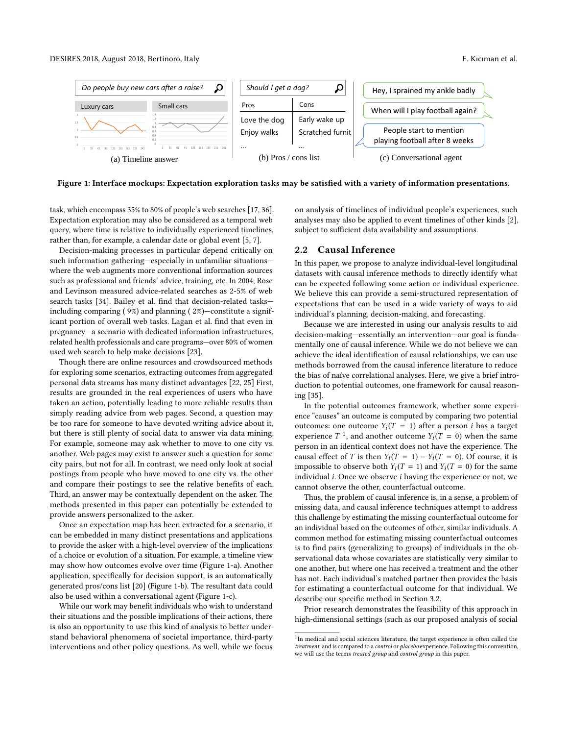<span id="page-1-0"></span>

Figure 1: Interface mockups: Expectation exploration tasks may be satisfied with a variety of information presentations.

task, which encompass 35% to 80% of people's web searches [\[17,](#page-5-6) [36\]](#page-6-4). Expectation exploration may also be considered as a temporal web query, where time is relative to individually experienced timelines, rather than, for example, a calendar date or global event [\[5,](#page-5-7) [7\]](#page-5-8).

Decision-making processes in particular depend critically on such information gathering—especially in unfamiliar situations where the web augments more conventional information sources such as professional and friends' advice, training, etc. In 2004, Rose and Levinson measured advice-related searches as 2-5% of web search tasks [\[34\]](#page-6-5). Bailey et al. find that decision-related tasks including comparing ( 9%) and planning ( 2%)—constitute a significant portion of overall web tasks. Lagan et al. find that even in pregnancy—a scenario with dedicated information infrastructures, related health professionals and care programs—over 80% of women used web search to help make decisions [\[23\]](#page-6-6).

Though there are online resources and crowdsourced methods for exploring some scenarios, extracting outcomes from aggregated personal data streams has many distinct advantages [\[22,](#page-6-7) [25\]](#page-6-8) First, results are grounded in the real experiences of users who have taken an action, potentially leading to more reliable results than simply reading advice from web pages. Second, a question may be too rare for someone to have devoted writing advice about it, but there is still plenty of social data to answer via data mining. For example, someone may ask whether to move to one city vs. another. Web pages may exist to answer such a question for some city pairs, but not for all. In contrast, we need only look at social postings from people who have moved to one city vs. the other and compare their postings to see the relative benefits of each. Third, an answer may be contextually dependent on the asker. The methods presented in this paper can potentially be extended to provide answers personalized to the asker.

Once an expectation map has been extracted for a scenario, it can be embedded in many distinct presentations and applications to provide the asker with a high-level overview of the implications of a choice or evolution of a situation. For example, a timeline view may show how outcomes evolve over time (Figure [1-](#page-1-0)a). Another application, specifically for decision support, is an automatically generated pros/cons list [\[20\]](#page-5-9) (Figure [1-](#page-1-0)b). The resultant data could also be used within a conversational agent (Figure [1-](#page-1-0)c).

While our work may benefit individuals who wish to understand their situations and the possible implications of their actions, there is also an opportunity to use this kind of analysis to better understand behavioral phenomena of societal importance, third-party interventions and other policy questions. As well, while we focus

on analysis of timelines of individual people's experiences, such analyses may also be applied to event timelines of other kinds [\[2\]](#page-5-10), subject to sufficient data availability and assumptions.

## 2.2 Causal Inference

In this paper, we propose to analyze individual-level longitudinal datasets with causal inference methods to directly identify what can be expected following some action or individual experience. We believe this can provide a semi-structured representation of expectations that can be used in a wide variety of ways to aid individual's planning, decision-making, and forecasting.

Because we are interested in using our analysis results to aid decision-making—essentially an intervention—our goal is fundamentally one of causal inference. While we do not believe we can achieve the ideal identification of causal relationships, we can use methods borrowed from the causal inference literature to reduce the bias of naïve correlational analyses. Here, we give a brief introduction to potential outcomes, one framework for causal reasoning [\[35\]](#page-6-9).

In the potential outcomes framework, whether some experience "causes" an outcome is computed by comparing two potential outcomes: one outcome  $Y_i(T = 1)$  after a person *i* has a target experience  $T^{-1}$  $T^{-1}$  $T^{-1}$ , and another outcome  $Y_i(T = 0)$  when the same person in an identical context does not have the experience. The causal effect of T is then  $Y_i(T = 1) - Y_i(T = 0)$ . Of course, it is impossible to observe both  $Y_i(T = 1)$  and  $Y_i(T = 0)$  for the same individual i. Once we observe i having the experience or not, we cannot observe the other, counterfactual outcome.

Thus, the problem of causal inference is, in a sense, a problem of missing data, and causal inference techniques attempt to address this challenge by estimating the missing counterfactual outcome for an individual based on the outcomes of other, similar individuals. A common method for estimating missing counterfactual outcomes is to find pairs (generalizing to groups) of individuals in the observational data whose covariates are statistically very similar to one another, but where one has received a treatment and the other has not. Each individual's matched partner then provides the basis for estimating a counterfactual outcome for that individual. We describe our specific method in Section [3.2.](#page-2-0)

Prior research demonstrates the feasibility of this approach in high-dimensional settings (such as our proposed analysis of social

<span id="page-1-1"></span><sup>&</sup>lt;sup>1</sup>In medical and social sciences literature, the target experience is often called the treatment, and is compared to a control or placebo experience. Following this convention, we will use the terms treated group and control group in this paper.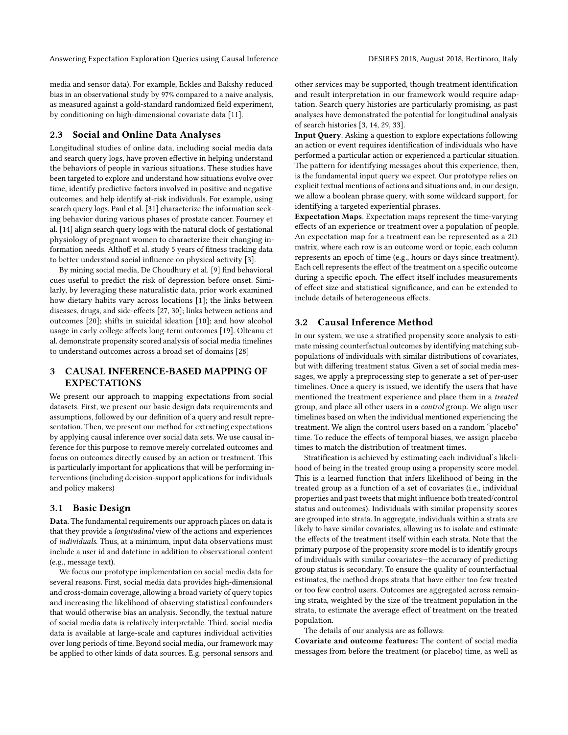Answering Expectation Exploration Queries using Causal Inference **DESIRES 2018, August 2018**, Bertinoro, Italy

media and sensor data). For example, Eckles and Bakshy reduced bias in an observational study by 97% compared to a naive analysis, as measured against a gold-standard randomized field experiment, by conditioning on high-dimensional covariate data [\[11\]](#page-5-11).

#### 2.3 Social and Online Data Analyses

Longitudinal studies of online data, including social media data and search query logs, have proven effective in helping understand the behaviors of people in various situations. These studies have been targeted to explore and understand how situations evolve over time, identify predictive factors involved in positive and negative outcomes, and help identify at-risk individuals. For example, using search query logs, Paul et al. [\[31\]](#page-6-10) characterize the information seeking behavior during various phases of prostate cancer. Fourney et al. [\[14\]](#page-5-12) align search query logs with the natural clock of gestational physiology of pregnant women to characterize their changing information needs. Althoff et al. study 5 years of fitness tracking data to better understand social influence on physical activity [\[3\]](#page-5-13).

By mining social media, De Choudhury et al. [\[9\]](#page-5-14) find behavioral cues useful to predict the risk of depression before onset. Similarly, by leveraging these naturalistic data, prior work examined how dietary habits vary across locations [\[1\]](#page-5-2); the links between diseases, drugs, and side-effects [\[27,](#page-6-11) [30\]](#page-6-12); links between actions and outcomes [\[20\]](#page-5-9); shifts in suicidal ideation [\[10\]](#page-5-15); and how alcohol usage in early college affects long-term outcomes [\[19\]](#page-5-16). Olteanu et al. demonstrate propensity scored analysis of social media timelines to understand outcomes across a broad set of domains [\[28\]](#page-6-13)

# 3 CAUSAL INFERENCE-BASED MAPPING OF EXPECTATIONS

We present our approach to mapping expectations from social datasets. First, we present our basic design data requirements and assumptions, followed by our definition of a query and result representation. Then, we present our method for extracting expectations by applying causal inference over social data sets. We use causal inference for this purpose to remove merely correlated outcomes and focus on outcomes directly caused by an action or treatment. This is particularly important for applications that will be performing interventions (including decision-support applications for individuals and policy makers)

#### 3.1 Basic Design

Data. The fundamental requirements our approach places on data is that they provide a longitudinal view of the actions and experiences of individuals. Thus, at a minimum, input data observations must include a user id and datetime in addition to observational content (e.g., message text).

We focus our prototype implementation on social media data for several reasons. First, social media data provides high-dimensional and cross-domain coverage, allowing a broad variety of query topics and increasing the likelihood of observing statistical confounders that would otherwise bias an analysis. Secondly, the textual nature of social media data is relatively interpretable. Third, social media data is available at large-scale and captures individual activities over long periods of time. Beyond social media, our framework may be applied to other kinds of data sources. E.g. personal sensors and other services may be supported, though treatment identification and result interpretation in our framework would require adaptation. Search query histories are particularly promising, as past analyses have demonstrated the potential for longitudinal analysis of search histories [\[3,](#page-5-13) [14,](#page-5-12) [29,](#page-6-14) [33\]](#page-6-15).

Input Query. Asking a question to explore expectations following an action or event requires identification of individuals who have performed a particular action or experienced a particular situation. The pattern for identifying messages about this experience, then, is the fundamental input query we expect. Our prototype relies on explicit textual mentions of actions and situations and, in our design, we allow a boolean phrase query, with some wildcard support, for identifying a targeted experiential phrases.

Expectation Maps. Expectation maps represent the time-varying effects of an experience or treatment over a population of people. An expectation map for a treatment can be represented as a 2D matrix, where each row is an outcome word or topic, each column represents an epoch of time (e.g., hours or days since treatment). Each cell represents the effect of the treatment on a specific outcome during a specific epoch. The effect itself includes measurements of effect size and statistical significance, and can be extended to include details of heterogeneous effects.

## <span id="page-2-0"></span>3.2 Causal Inference Method

In our system, we use a stratified propensity score analysis to estimate missing counterfactual outcomes by identifying matching subpopulations of individuals with similar distributions of covariates, but with differing treatment status. Given a set of social media messages, we apply a preprocessing step to generate a set of per-user timelines. Once a query is issued, we identify the users that have mentioned the treatment experience and place them in a treated group, and place all other users in a control group. We align user timelines based on when the individual mentioned experiencing the treatment. We align the control users based on a random "placebo" time. To reduce the effects of temporal biases, we assign placebo times to match the distribution of treatment times.

Stratification is achieved by estimating each individual's likelihood of being in the treated group using a propensity score model. This is a learned function that infers likelihood of being in the treated group as a function of a set of covariates (i.e., individual properties and past tweets that might influence both treated/control status and outcomes). Individuals with similar propensity scores are grouped into strata. In aggregate, individuals within a strata are likely to have similar covariates, allowing us to isolate and estimate the effects of the treatment itself within each strata. Note that the primary purpose of the propensity score model is to identify groups of individuals with similar covariates—the accuracy of predicting group status is secondary. To ensure the quality of counterfactual estimates, the method drops strata that have either too few treated or too few control users. Outcomes are aggregated across remaining strata, weighted by the size of the treatment population in the strata, to estimate the average effect of treatment on the treated population.

The details of our analysis are as follows:

Covariate and outcome features: The content of social media messages from before the treatment (or placebo) time, as well as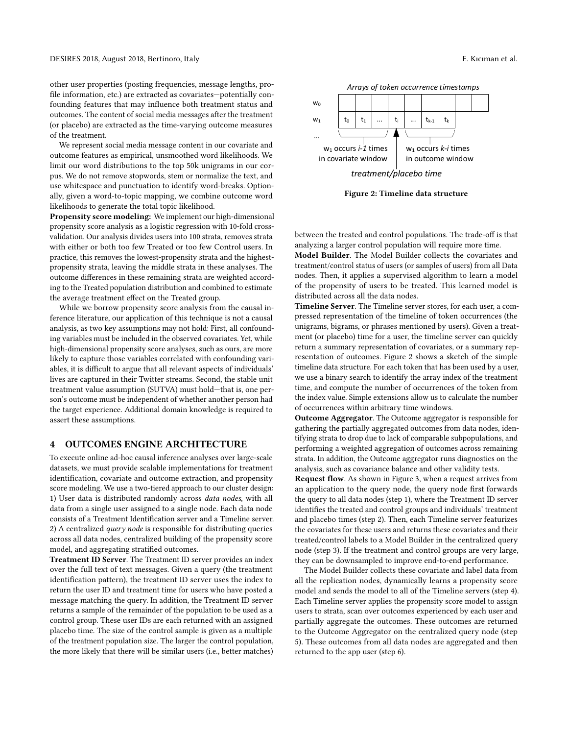other user properties (posting frequencies, message lengths, profile information, etc.) are extracted as covariates—potentially confounding features that may influence both treatment status and outcomes. The content of social media messages after the treatment (or placebo) are extracted as the time-varying outcome measures of the treatment.

We represent social media message content in our covariate and outcome features as empirical, unsmoothed word likelihoods. We limit our word distributions to the top 50k unigrams in our corpus. We do not remove stopwords, stem or normalize the text, and use whitespace and punctuation to identify word-breaks. Optionally, given a word-to-topic mapping, we combine outcome word likelihoods to generate the total topic likelihood.

Propensity score modeling: We implement our high-dimensional propensity score analysis as a logistic regression with 10-fold crossvalidation. Our analysis divides users into 100 strata, removes strata with either or both too few Treated or too few Control users. In practice, this removes the lowest-propensity strata and the highestpropensity strata, leaving the middle strata in these analyses. The outcome differences in these remaining strata are weighted according to the Treated population distribution and combined to estimate the average treatment effect on the Treated group.

While we borrow propensity score analysis from the causal inference literature, our application of this technique is not a causal analysis, as two key assumptions may not hold: First, all confounding variables must be included in the observed covariates. Yet, while high-dimensional propensity score analyses, such as ours, are more likely to capture those variables correlated with confounding variables, it is difficult to argue that all relevant aspects of individuals' lives are captured in their Twitter streams. Second, the stable unit treatment value assumption (SUTVA) must hold—that is, one person's outcome must be independent of whether another person had the target experience. Additional domain knowledge is required to assert these assumptions.

## 4 OUTCOMES ENGINE ARCHITECTURE

To execute online ad-hoc causal inference analyses over large-scale datasets, we must provide scalable implementations for treatment identification, covariate and outcome extraction, and propensity score modeling. We use a two-tiered approach to our cluster design: 1) User data is distributed randomly across data nodes, with all data from a single user assigned to a single node. Each data node consists of a Treatment Identification server and a Timeline server. 2) A centralized *query node* is responsible for distributing queries across all data nodes, centralized building of the propensity score model, and aggregating stratified outcomes.

Treatment ID Server. The Treatment ID server provides an index over the full text of text messages. Given a query (the treatment identification pattern), the treatment ID server uses the index to return the user ID and treatment time for users who have posted a message matching the query. In addition, the Treatment ID server returns a sample of the remainder of the population to be used as a control group. These user IDs are each returned with an assigned placebo time. The size of the control sample is given as a multiple of the treatment population size. The larger the control population, the more likely that there will be similar users (i.e., better matches)

<span id="page-3-0"></span>

Figure 2: Timeline data structure

between the treated and control populations. The trade-off is that analyzing a larger control population will require more time.

Model Builder. The Model Builder collects the covariates and treatment/control status of users (or samples of users) from all Data nodes. Then, it applies a supervised algorithm to learn a model of the propensity of users to be treated. This learned model is distributed across all the data nodes.

Timeline Server. The Timeline server stores, for each user, a compressed representation of the timeline of token occurrences (the unigrams, bigrams, or phrases mentioned by users). Given a treatment (or placebo) time for a user, the timeline server can quickly return a summary representation of covariates, or a summary representation of outcomes. Figure [2](#page-3-0) shows a sketch of the simple timeline data structure. For each token that has been used by a user, we use a binary search to identify the array index of the treatment time, and compute the number of occurrences of the token from the index value. Simple extensions allow us to calculate the number of occurrences within arbitrary time windows.

Outcome Aggregator. The Outcome aggregator is responsible for gathering the partially aggregated outcomes from data nodes, identifying strata to drop due to lack of comparable subpopulations, and performing a weighted aggregation of outcomes across remaining strata. In addition, the Outcome aggregator runs diagnostics on the analysis, such as covariance balance and other validity tests.

Request flow. As shown in Figure [3,](#page-4-0) when a request arrives from an application to the query node, the query node first forwards the query to all data nodes (step 1), where the Treatment ID server identifies the treated and control groups and individuals' treatment and placebo times (step 2). Then, each Timeline server featurizes the covariates for these users and returns these covariates and their treated/control labels to a Model Builder in the centralized query node (step 3). If the treatment and control groups are very large, they can be downsampled to improve end-to-end performance.

The Model Builder collects these covariate and label data from all the replication nodes, dynamically learns a propensity score model and sends the model to all of the Timeline servers (step 4). Each Timeline server applies the propensity score model to assign users to strata, scan over outcomes experienced by each user and partially aggregate the outcomes. These outcomes are returned to the Outcome Aggregator on the centralized query node (step 5). These outcomes from all data nodes are aggregated and then returned to the app user (step 6).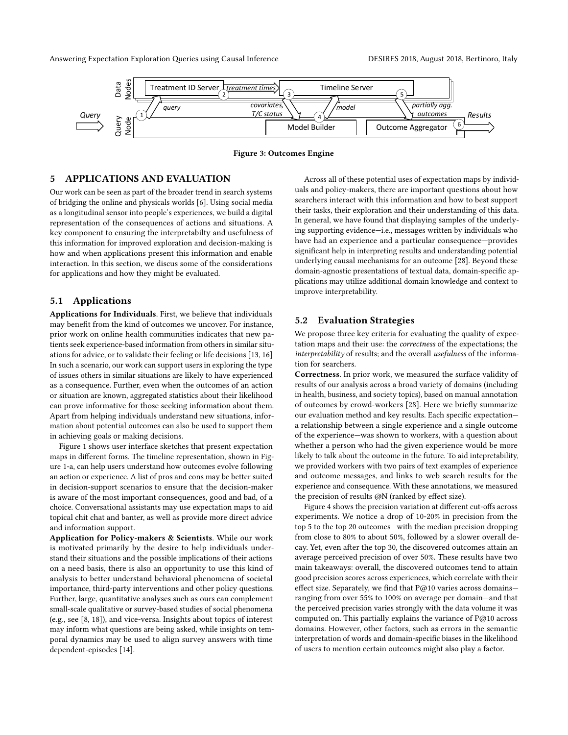<span id="page-4-0"></span>Answering Expectation Exploration Queries using Causal Inference **DESIRES 2018, August 2018**, Bertinoro, Italy



Figure 3: Outcomes Engine

# 5 APPLICATIONS AND EVALUATION

Our work can be seen as part of the broader trend in search systems of bridging the online and physicals worlds [\[6\]](#page-5-17). Using social media as a longitudinal sensor into people's experiences, we build a digital representation of the consequences of actions and situations. A key component to ensuring the interpretabilty and usefulness of this information for improved exploration and decision-making is how and when applications present this information and enable interaction. In this section, we discus some of the considerations for applications and how they might be evaluated.

## 5.1 Applications

Applications for Individuals. First, we believe that individuals may benefit from the kind of outcomes we uncover. For instance, prior work on online health communities indicates that new patients seek experience-based information from others in similar situations for advice, or to validate their feeling or life decisions [\[13,](#page-5-4) [16\]](#page-5-18) In such a scenario, our work can support users in exploring the type of issues others in similar situations are likely to have experienced as a consequence. Further, even when the outcomes of an action or situation are known, aggregated statistics about their likelihood can prove informative for those seeking information about them. Apart from helping individuals understand new situations, information about potential outcomes can also be used to support them in achieving goals or making decisions.

Figure [1](#page-1-0) shows user interface sketches that present expectation maps in different forms. The timeline representation, shown in Figure [1-](#page-1-0)a, can help users understand how outcomes evolve following an action or experience. A list of pros and cons may be better suited in decision-support scenarios to ensure that the decision-maker is aware of the most important consequences, good and bad, of a choice. Conversational assistants may use expectation maps to aid topical chit chat and banter, as well as provide more direct advice and information support.

Application for Policy-makers & Scientists. While our work is motivated primarily by the desire to help individuals understand their situations and the possible implications of their actions on a need basis, there is also an opportunity to use this kind of analysis to better understand behavioral phenomena of societal importance, third-party interventions and other policy questions. Further, large, quantitative analyses such as ours can complement small-scale qualitative or survey-based studies of social phenomena (e.g., see [\[8,](#page-5-3) [18\]](#page-5-19)), and vice-versa. Insights about topics of interest may inform what questions are being asked, while insights on temporal dynamics may be used to align survey answers with time dependent-episodes [\[14\]](#page-5-12).

Across all of these potential uses of expectation maps by individuals and policy-makers, there are important questions about how searchers interact with this information and how to best support their tasks, their exploration and their understanding of this data. In general, we have found that displaying samples of the underlying supporting evidence—i.e., messages written by individuals who have had an experience and a particular consequence—provides significant help in interpreting results and understanding potential underlying causal mechanisms for an outcome [\[28\]](#page-6-13). Beyond these domain-agnostic presentations of textual data, domain-specific applications may utilize additional domain knowledge and context to improve interpretability.

#### 5.2 Evaluation Strategies

We propose three key criteria for evaluating the quality of expectation maps and their use: the correctness of the expectations; the interpretability of results; and the overall usefulness of the information for searchers.

Correctness. In prior work, we measured the surface validity of results of our analysis across a broad variety of domains (including in health, business, and society topics), based on manual annotation of outcomes by crowd-workers [\[28\]](#page-6-13). Here we briefly summarize our evaluation method and key results. Each specific expectation a relationship between a single experience and a single outcome of the experience—was shown to workers, with a question about whether a person who had the given experience would be more likely to talk about the outcome in the future. To aid intepretability, we provided workers with two pairs of text examples of experience and outcome messages, and links to web search results for the experience and consequence. With these annotations, we measured the precision of results @N (ranked by effect size).

Figure [4](#page-5-20) shows the precision variation at different cut-offs across experiments. We notice a drop of 10-20% in precision from the top 5 to the top 20 outcomes—with the median precision dropping from close to 80% to about 50%, followed by a slower overall decay. Yet, even after the top 30, the discovered outcomes attain an average perceived precision of over 50%. These results have two main takeaways: overall, the discovered outcomes tend to attain good precision scores across experiences, which correlate with their effect size. Separately, we find that P@10 varies across domainsranging from over 55% to 100% on average per domain—and that the perceived precision varies strongly with the data volume it was computed on. This partially explains the variance of P@10 across domains. However, other factors, such as errors in the semantic interpretation of words and domain-specific biases in the likelihood of users to mention certain outcomes might also play a factor.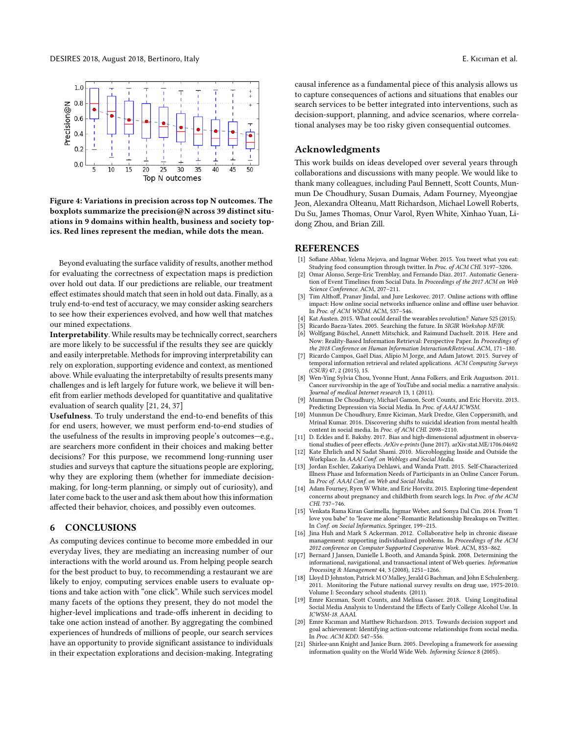<span id="page-5-20"></span>

Figure 4: Variations in precision across top N outcomes. The boxplots summarize the precision@N across 39 distinct situations in 9 domains within health, business and society topics. Red lines represent the median, while dots the mean.

Beyond evaluating the surface validity of results, another method for evaluating the correctness of expectation maps is prediction over hold out data. If our predictions are reliable, our treatment effect estimates should match that seen in hold out data. Finally, as a truly end-to-end test of accuracy, we may consider asking searchers to see how their experiences evolved, and how well that matches our mined expectations.

Interpretability. While results may be technically correct, searchers are more likely to be successful if the results they see are quickly and easily interpretable. Methods for improving interpretability can rely on exploration, supporting evidence and context, as mentioned above. While evaluating the interpretabilty of results presents many challenges and is left largely for future work, we believe it will benefit from earlier methods developed for quantitative and qualitative evaluation of search quality [\[21,](#page-5-21) [24,](#page-6-16) [37\]](#page-6-17)

Usefulness. To truly understand the end-to-end benefits of this for end users, however, we must perform end-to-end studies of the usefulness of the results in improving people's outcomes—e.g., are searchers more confident in their choices and making better decisions? For this purpose, we recommend long-running user studies and surveys that capture the situations people are exploring, why they are exploring them (whether for immediate decisionmaking, for long-term planning, or simply out of curiosity), and later come back to the user and ask them about how this information affected their behavior, choices, and possibly even outcomes.

#### 6 CONCLUSIONS

As computing devices continue to become more embedded in our everyday lives, they are mediating an increasing number of our interactions with the world around us. From helping people search for the best product to buy, to recommending a restaurant we are likely to enjoy, computing services enable users to evaluate options and take action with "one click". While such services model many facets of the options they present, they do not model the higher-level implications and trade-offs inherent in deciding to take one action instead of another. By aggregating the combined experiences of hundreds of millions of people, our search services have an opportunity to provide significant assistance to individuals in their expectation explorations and decision-making. Integrating

causal inference as a fundamental piece of this analysis allows us to capture consequences of actions and situations that enables our search services to be better integrated into interventions, such as decision-support, planning, and advice scenarios, where correlational analyses may be too risky given consequential outcomes.

## Acknowledgments

This work builds on ideas developed over several years through collaborations and discussions with many people. We would like to thank many colleagues, including Paul Bennett, Scott Counts, Munmun De Choudhury, Susan Dumais, Adam Fourney, Myeongjae Jeon, Alexandra Olteanu, Matt Richardson, Michael Lowell Roberts, Du Su, James Thomas, Onur Varol, Ryen White, Xinhao Yuan, Lidong Zhou, and Brian Zill.

#### REFERENCES

- <span id="page-5-2"></span>Sofiane Abbar, Yelena Mejova, and Ingmar Weber. 2015. You tweet what you eat: Studying food consumption through twitter. In Proc. of ACM CHI. 3197–3206.
- <span id="page-5-10"></span>Omar Alonso, Serge-Eric Tremblay, and Fernando Diaz. 2017. Automatic Generation of Event Timelines from Social Data. In Proceedings of the 2017 ACM on Web Science Conference. ACM, 207–211.
- <span id="page-5-13"></span>[3] Tim Althoff, Pranav Jindal, and Jure Leskovec. 2017. Online actions with offline impact: How online social networks influence online and offline user behavior. In Proc. of ACM WSDM. ACM, 537-546.
- <span id="page-5-5"></span>[4] Kat Austen. 2015. What could derail the wearables revolution? Nature 525 (2015).
- <span id="page-5-7"></span>Ricardo Baeza-Yates. 2005. Searching the future. In SIGIR Workshop MF/IR.
- <span id="page-5-17"></span>Wolfgang Büschel, Annett Mitschick, and Raimund Dachselt. 2018. Here and Now: Reality-Based Information Retrieval: Perspective Paper. In Proceedings of the 2018 Conference on Human Information Interaction&Retrieval. ACM, 171–180.
- <span id="page-5-8"></span>[7] Ricardo Campos, Gaël Dias, Alípio M Jorge, and Adam Jatowt. 2015. Survey of temporal information retrieval and related applications. ACM Computing Surveys  $(CSUR)$  47, 2 (2015), 15.
- <span id="page-5-3"></span>[8] Wen-Ying Sylvia Chou, Yvonne Hunt, Anna Folkers, and Erik Augustson. 2011. Cancer survivorship in the age of YouTube and social media: a narrative analysis. Journal of medical Internet research 13, 1 (2011).
- <span id="page-5-14"></span>Munmun De Choudhury, Michael Gamon, Scott Counts, and Eric Horvitz. 2013. Predicting Depression via Social Media. In Proc. of AAAI ICWSM.
- <span id="page-5-15"></span>[10] Munmun De Choudhury, Emre Kiciman, Mark Dredze, Glen Coppersmith, and Mrinal Kumar. 2016. Discovering shifts to suicidal ideation from mental health content in social media. In Proc. of ACM CHI. 2098–2110.
- <span id="page-5-11"></span>[11] D. Eckles and E. Bakshy. 2017. Bias and high-dimensional adjustment in observational studies of peer effects. ArXiv e-prints (June 2017). arXiv[:stat.ME/1706.04692](http://arxiv.org/abs/stat.ME/1706.04692)
- <span id="page-5-0"></span>[12] Kate Ehrlich and N Sadat Shami. 2010. Microblogging Inside and Outside the Workplace. In AAAI Conf. on Weblogs and Social Media.
- <span id="page-5-4"></span>[13] Jordan Eschler, Zakariya Dehlawi, and Wanda Pratt. 2015. Self-Characterized Illness Phase and Information Needs of Participants in an Online Cancer Forum. In Proc of. AAAI Conf. on Web and Social Media.
- <span id="page-5-12"></span>[14] Adam Fourney, Ryen W White, and Eric Horvitz. 2015. Exploring time-dependent concerns about pregnancy and childbirth from search logs. In Proc. of the ACM CHI. 737–746.
- <span id="page-5-1"></span>[15] Venkata Rama Kiran Garimella, Ingmar Weber, and Sonya Dal Cin. 2014. From "I love you babe" to "leave me alone"-Romantic Relationship Breakups on Twitter. In Conf. on Social Informatics. Springer, 199–215.
- <span id="page-5-18"></span>[16] Jina Huh and Mark S Ackerman. 2012. Collaborative help in chronic disease management: supporting individualized problems. In Proceedings of the ACM 2012 conference on Computer Supported Cooperative Work. ACM, 853–862.
- <span id="page-5-6"></span>[17] Bernard J Jansen, Danielle L Booth, and Amanda Spink. 2008. Determining the informational, navigational, and transactional intent of Web queries. Information Processing & Management 44, 3 (2008), 1251–1266.
- <span id="page-5-19"></span>[18] Lloyd D Johnston, Patrick M O'Malley, Jerald G Bachman, and John E Schulenberg. 2011. Monitoring the Future national survey results on drug use, 1975-2010. Volume I: Secondary school students. (2011).
- <span id="page-5-16"></span>[19] Emre Kıcıman, Scott Counts, and Melissa Gasser. 2018. Using Longitudinal Social Media Analysis to Understand the Effects of Early College Alcohol Use. In ICWSM-18. AAAI.
- <span id="page-5-9"></span>[20] Emre Kıcıman and Matthew Richardson. 2015. Towards decision support and goal achievement: Identifying action-outcome relationships from social media. In Proc. ACM KDD. 547–556.
- <span id="page-5-21"></span>[21] Shirlee-ann Knight and Janice Burn. 2005. Developing a framework for assessing information quality on the World Wide Web. Informing Science 8 (2005).